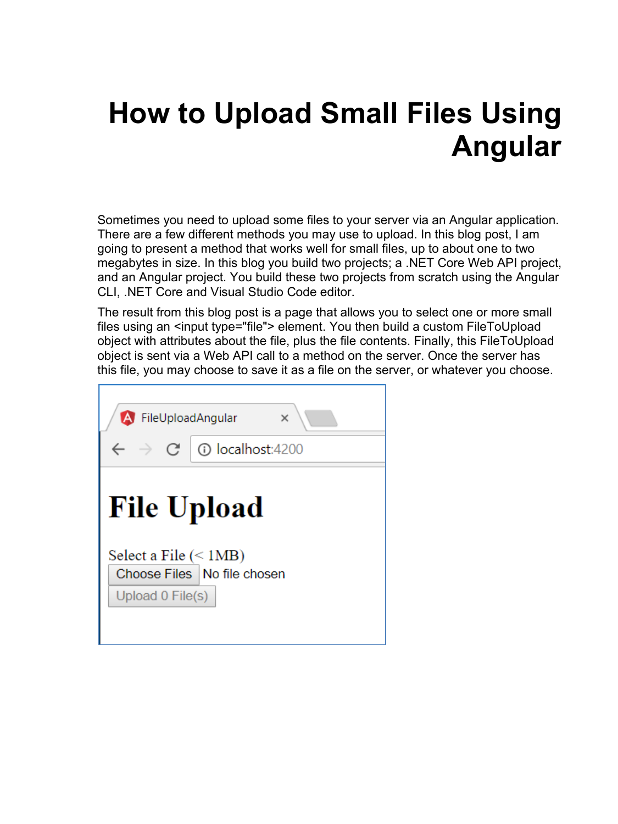# **How to Upload Small Files Using Angular**

Sometimes you need to upload some files to your server via an Angular application. There are a few different methods you may use to upload. In this blog post, I am going to present a method that works well for small files, up to about one to two megabytes in size. In this blog you build two projects; a .NET Core Web API project, and an Angular project. You build these two projects from scratch using the Angular CLI, .NET Core and Visual Studio Code editor.

The result from this blog post is a page that allows you to select one or more small files using an <input type="file"> element. You then build a custom FileToUpload object with attributes about the file, plus the file contents. Finally, this FileToUpload object is sent via a Web API call to a method on the server. Once the server has this file, you may choose to save it as a file on the server, or whatever you choose.

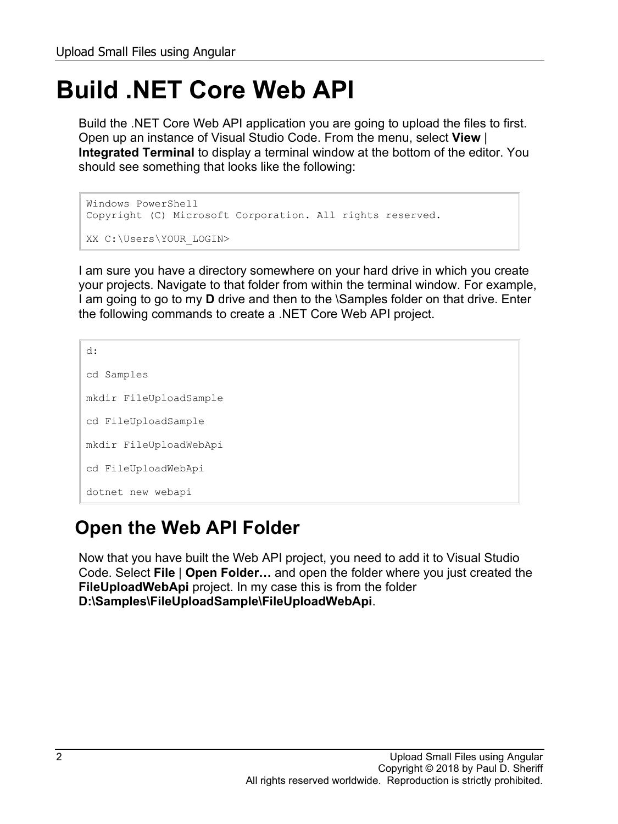## **Build .NET Core Web API**

Build the .NET Core Web API application you are going to upload the files to first. Open up an instance of Visual Studio Code. From the menu, select **View** | **Integrated Terminal** to display a terminal window at the bottom of the editor. You should see something that looks like the following:

```
Windows PowerShell
Copyright (C) Microsoft Corporation. All rights reserved.
XX C:\Users\YOUR_LOGIN>
```
I am sure you have a directory somewhere on your hard drive in which you create your projects. Navigate to that folder from within the terminal window. For example, I am going to go to my **D** drive and then to the \Samples folder on that drive. Enter the following commands to create a .NET Core Web API project.

```
d:
cd Samples
mkdir FileUploadSample
cd FileUploadSample
mkdir FileUploadWebApi
cd FileUploadWebApi
dotnet new webapi
```
### **Open the Web API Folder**

Now that you have built the Web API project, you need to add it to Visual Studio Code. Select **File** | **Open Folder…** and open the folder where you just created the **FileUploadWebApi** project. In my case this is from the folder **D:\Samples\FileUploadSample\FileUploadWebApi**.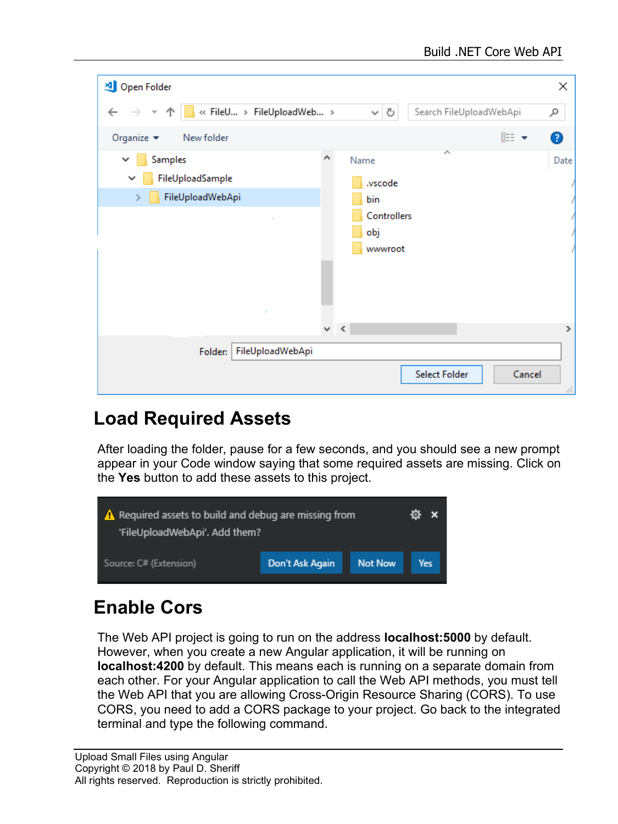| Open Folder                                                               |   |                                     |                                   |                         | ×            |
|---------------------------------------------------------------------------|---|-------------------------------------|-----------------------------------|-------------------------|--------------|
| « FileU > FileUploadWeb ><br>$\leftarrow$                                 |   | $\mathcal{L}_{\mathbf{r}^{\prime}}$ | Ō                                 | Search FileUploadWebApi | مر           |
| Organize $\blacktriangledown$<br>New folder                               |   |                                     |                                   | 睚 ▼                     | ◙            |
| Samples<br>v<br>FileUploadSample<br>$\checkmark$<br>FileUploadWebApi<br>≯ | Α | Name<br>bin<br>obj                  | .vscode<br>Controllers<br>wwwroot | ㅅ                       | Date         |
|                                                                           |   | $\vee$ $\leq$                       |                                   |                         | Y            |
| FileUploadWebApi<br>Folder:                                               |   |                                     |                                   | Select Folder<br>Cancel | $\mathbb{H}$ |

### **Load Required Assets**

After loading the folder, pause for a few seconds, and you should see a new prompt appear in your Code window saying that some required assets are missing. Click on the **Yes** button to add these assets to this project.



## **Enable Cors**

The Web API project is going to run on the address **localhost:5000** by default. However, when you create a new Angular application, it will be running on **localhost:4200** by default. This means each is running on a separate domain from each other. For your Angular application to call the Web API methods, you must tell the Web API that you are allowing Cross-Origin Resource Sharing (CORS). To use CORS, you need to add a CORS package to your project. Go back to the integrated terminal and type the following command.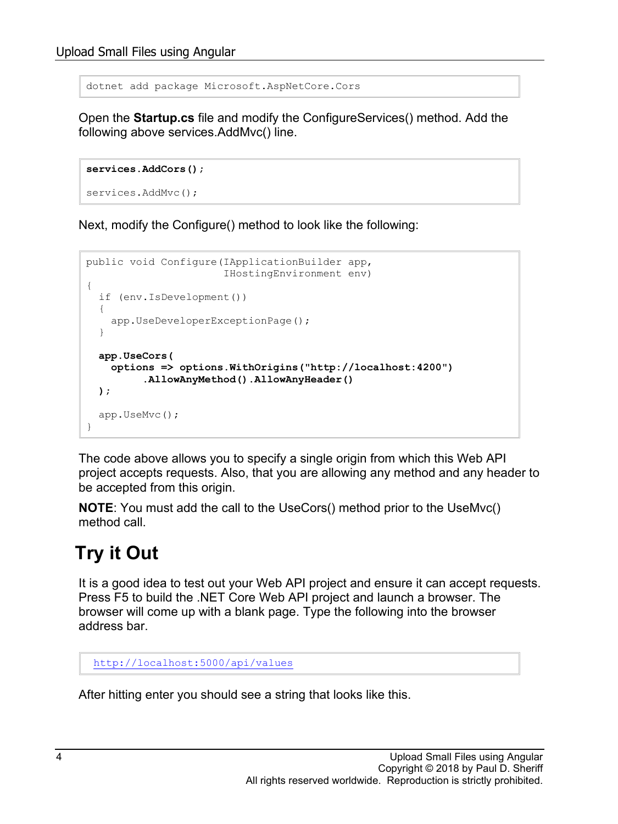dotnet add package Microsoft.AspNetCore.Cors

Open the **Startup.cs** file and modify the ConfigureServices() method. Add the following above services.AddMvc() line.

```
services.AddCors();
```

```
services.AddMvc();
```
Next, modify the Configure() method to look like the following:

```
public void Configure(IApplicationBuilder app,
                        IHostingEnvironment env)
{
   if (env.IsDevelopment())
   {
    app.UseDeveloperExceptionPage();
   }
   app.UseCors(
     options => options.WithOrigins("http://localhost:4200")
           .AllowAnyMethod().AllowAnyHeader()
   );
   app.UseMvc();
}
```
The code above allows you to specify a single origin from which this Web API project accepts requests. Also, that you are allowing any method and any header to be accepted from this origin.

**NOTE**: You must add the call to the UseCors() method prior to the UseMvc() method call.

## **Try it Out**

It is a good idea to test out your Web API project and ensure it can accept requests. Press F5 to build the .NET Core Web API project and launch a browser. The browser will come up with a blank page. Type the following into the browser address bar.

```
http://localhost:5000/api/values
```
After hitting enter you should see a string that looks like this.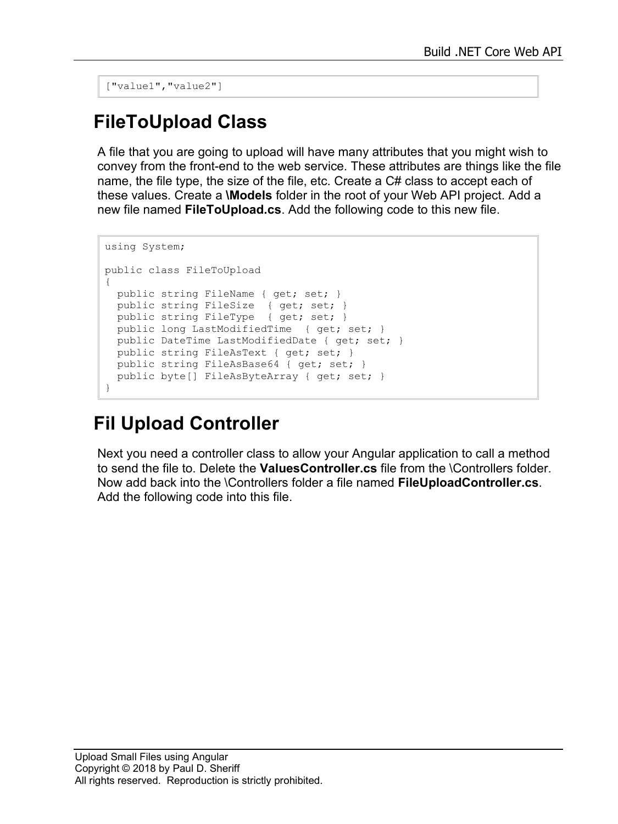["value1","value2"]

#### **FileToUpload Class**

A file that you are going to upload will have many attributes that you might wish to convey from the front-end to the web service. These attributes are things like the file name, the file type, the size of the file, etc. Create a C# class to accept each of these values. Create a **\Models** folder in the root of your Web API project. Add a new file named **FileToUpload.cs**. Add the following code to this new file.

```
using System;
public class FileToUpload
{
  public string FileName { get; set; }
  public string FileSize { get; set; }
  public string FileType { get; set; }
  public long LastModifiedTime { get; set; }
  public DateTime LastModifiedDate { get; set; }
  public string FileAsText { get; set; }
  public string FileAsBase64 { get; set; }
  public byte[] FileAsByteArray { get; set; }
}
```
### **Fil Upload Controller**

Next you need a controller class to allow your Angular application to call a method to send the file to. Delete the **ValuesController.cs** file from the \Controllers folder. Now add back into the \Controllers folder a file named **FileUploadController.cs**. Add the following code into this file.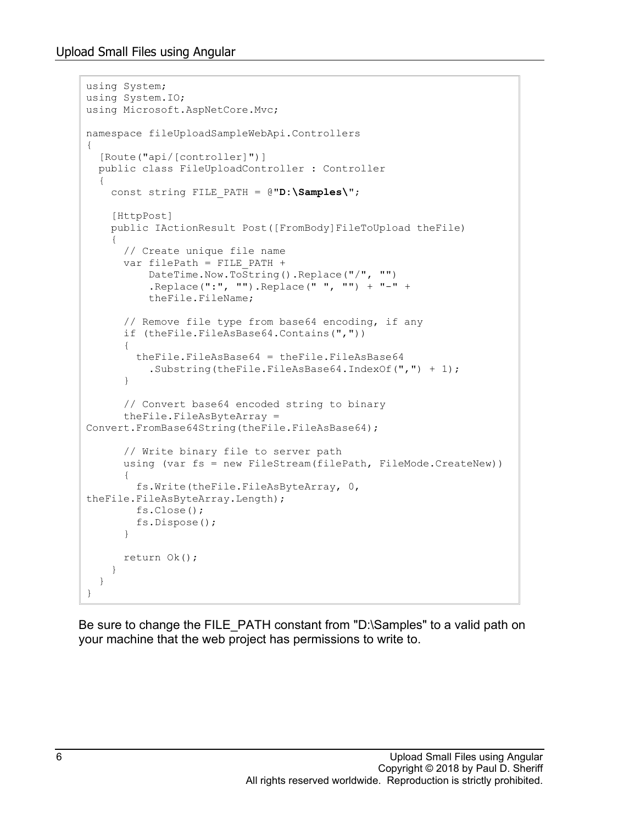Upload Small Files using Angular

```
using System;
using System.IO;
using Microsoft.AspNetCore.Mvc;
namespace fileUploadSampleWebApi.Controllers
{
   [Route("api/[controller]")]
   public class FileUploadController : Controller
\{ const string FILE_PATH = @"D:\Samples\";
     [HttpPost]
     public IActionResult Post([FromBody]FileToUpload theFile)
\left\{\begin{array}{c} \end{array}\right\} // Create unique file name
       var filePath = FILE_PATH + 
           DateTime.Now.ToString().Replace("/", "")
            .Replace(":", "").Replace(" ", "") + "-" +
           theFile.FileName;
       // Remove file type from base64 encoding, if any
       if (theFile.FileAsBase64.Contains(","))
       {
         theFile.FileAsBase64 = theFile.FileAsBase64
            .Substring(theFile.FileAsBase64.IndexOf(",") + 1);
       }
       // Convert base64 encoded string to binary
       theFile.FileAsByteArray = 
Convert.FromBase64String(theFile.FileAsBase64);
       // Write binary file to server path
       using (var fs = new FileStream(filePath, FileMode.CreateNew))
 {
         fs.Write(theFile.FileAsByteArray, 0, 
theFile.FileAsByteArray.Length);
         fs.Close();
         fs.Dispose();
       }
      return Ok();
     }
   }
}
```
Be sure to change the FILE PATH constant from "D:\Samples" to a valid path on your machine that the web project has permissions to write to.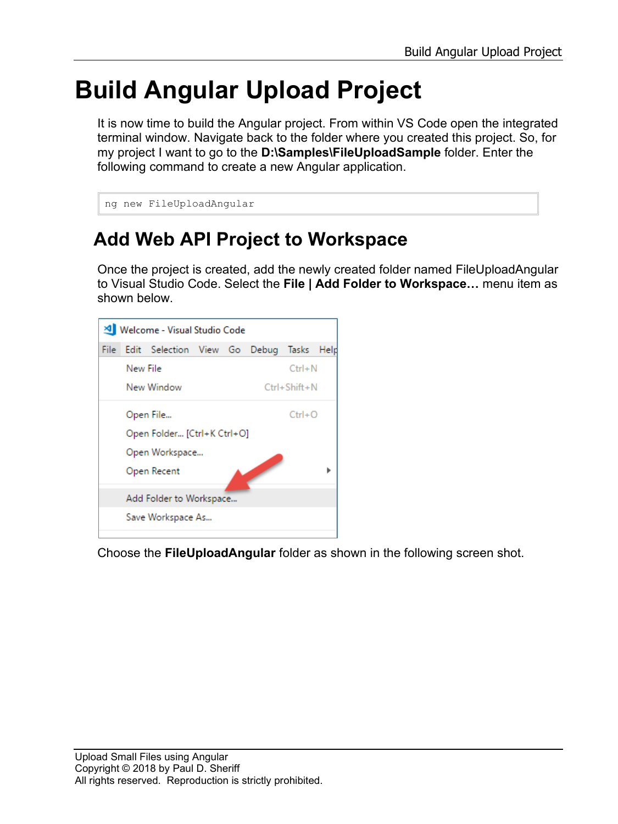## **Build Angular Upload Project**

It is now time to build the Angular project. From within VS Code open the integrated terminal window. Navigate back to the folder where you created this project. So, for my project I want to go to the **D:\Samples\FileUploadSample** folder. Enter the following command to create a new Angular application.

```
ng new FileUploadAngular
```
### **Add Web API Project to Workspace**

Once the project is created, add the newly created folder named FileUploadAngular to Visual Studio Code. Select the **File | Add Folder to Workspace…** menu item as shown below.



Choose the **FileUploadAngular** folder as shown in the following screen shot.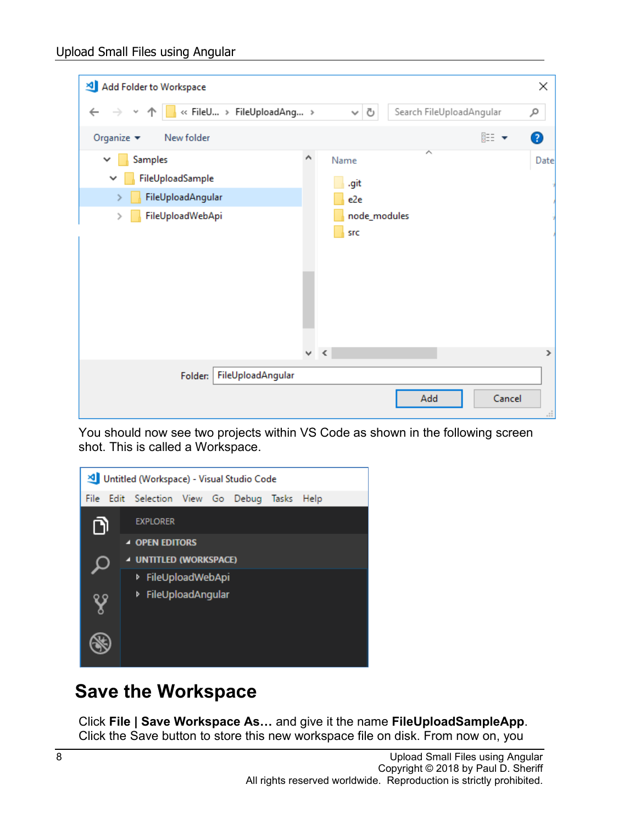| Add Folder to Workspace                                                                                               |   |               |                                    |     |                          |        | ×                      |
|-----------------------------------------------------------------------------------------------------------------------|---|---------------|------------------------------------|-----|--------------------------|--------|------------------------|
| B « FileU > FileUploadAng ><br>$\leftarrow$<br>v                                                                      |   |               | Ō<br>$\checkmark$                  |     | Search FileUploadAngular |        | مر                     |
| Organize $\blacktriangledown$<br>New folder                                                                           |   |               |                                    |     |                          | 胆→     | ❷                      |
| Samples<br>$\checkmark$<br>FileUploadSample<br>$\checkmark$<br>FileUploadAngular<br>FileUploadWebApi<br>$\rightarrow$ | Α | Name          | .git<br>e2e<br>node_modules<br>src | ∧   |                          |        | Date                   |
|                                                                                                                       |   | $\vee$ $\leq$ |                                    |     |                          |        | ⋗                      |
| FileUploadAngular<br>Folder:                                                                                          |   |               |                                    | Add |                          | Cancel | $\frac{1}{1+\epsilon}$ |

You should now see two projects within VS Code as shown in the following screen shot. This is called a Workspace.



#### **Save the Workspace**

Click **File | Save Workspace As…** and give it the name **FileUploadSampleApp**. Click the Save button to store this new workspace file on disk. From now on, you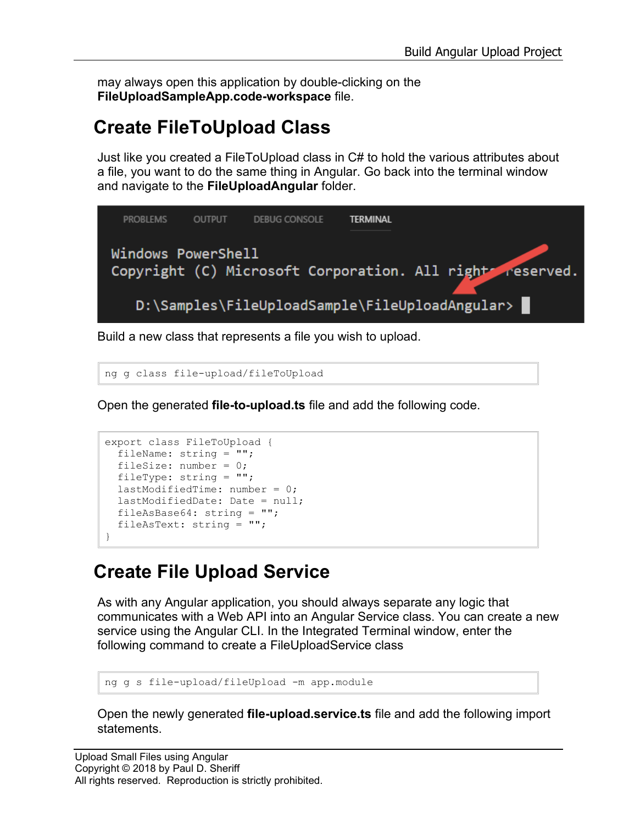may always open this application by double-clicking on the **FileUploadSampleApp.code-workspace** file.

## **Create FileToUpload Class**

Just like you created a FileToUpload class in C# to hold the various attributes about a file, you want to do the same thing in Angular. Go back into the terminal window and navigate to the **FileUploadAngular** folder.



Build a new class that represents a file you wish to upload.

ng g class file-upload/fileToUpload

Open the generated **file-to-upload.ts** file and add the following code.

```
export class FileToUpload {
  fileName: string = "";
 fileSize: number = 0; fileType: string = "";
  lastModifiedTime: number = 0;
  lastModifiedDate: Date = null;
  fileAsBase64: string = "";
   fileAsText: string = "";
}
```
### **Create File Upload Service**

As with any Angular application, you should always separate any logic that communicates with a Web API into an Angular Service class. You can create a new service using the Angular CLI. In the Integrated Terminal window, enter the following command to create a FileUploadService class

```
ng g s file-upload/fileUpload -m app.module
```
Open the newly generated **file-upload.service.ts** file and add the following import statements.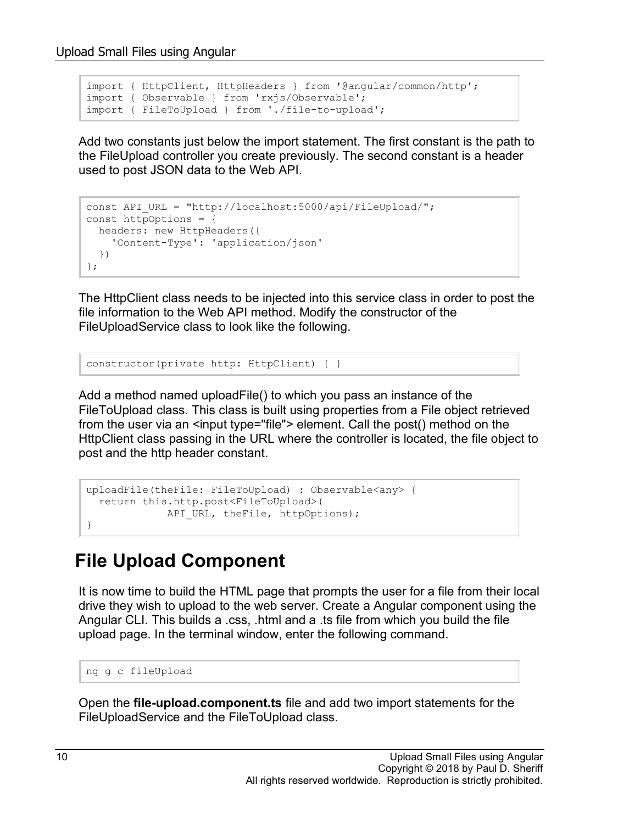```
import { HttpClient, HttpHeaders } from '@angular/common/http';
import { Observable } from 'rxjs/Observable';
import { FileToUpload } from './file-to-upload';
```
Add two constants just below the import statement. The first constant is the path to the FileUpload controller you create previously. The second constant is a header used to post JSON data to the Web API.

```
const API URL = "http://localhost:5000/api/FileUpload/";
const httpOptions = {
  headers: new HttpHeaders({
    'Content-Type': 'application/json'
  })
};
```
The HttpClient class needs to be injected into this service class in order to post the file information to the Web API method. Modify the constructor of the FileUploadService class to look like the following.

constructor(private http: HttpClient) { }

Add a method named uploadFile() to which you pass an instance of the FileToUpload class. This class is built using properties from a File object retrieved from the user via an <input type="file"> element. Call the post() method on the HttpClient class passing in the URL where the controller is located, the file object to post and the http header constant.

```
uploadFile(theFile: FileToUpload) : Observable<any> {
  return this.http.post<FileToUpload>(
           API URL, theFile, httpOptions);
}
```
#### **File Upload Component**

It is now time to build the HTML page that prompts the user for a file from their local drive they wish to upload to the web server. Create a Angular component using the Angular CLI. This builds a .css, .html and a .ts file from which you build the file upload page. In the terminal window, enter the following command.

```
ng g c fileUpload
```
Open the **file-upload.component.ts** file and add two import statements for the FileUploadService and the FileToUpload class.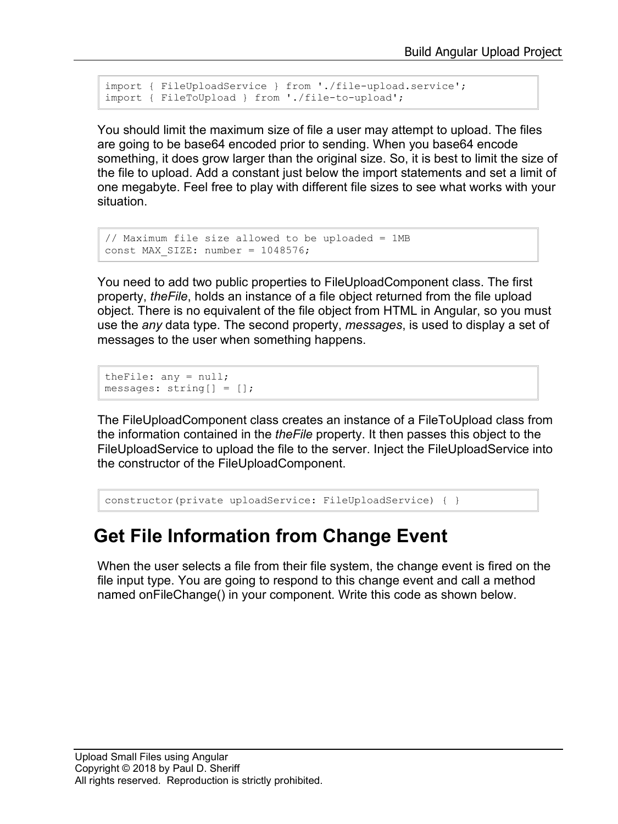```
import { FileUploadService } from './file-upload.service';
import { FileToUpload } from './file-to-upload';
```
You should limit the maximum size of file a user may attempt to upload. The files are going to be base64 encoded prior to sending. When you base64 encode something, it does grow larger than the original size. So, it is best to limit the size of the file to upload. Add a constant just below the import statements and set a limit of one megabyte. Feel free to play with different file sizes to see what works with your situation.

```
// Maximum file size allowed to be uploaded = 1MB
const MAX SIZE: number = 1048576;
```
You need to add two public properties to FileUploadComponent class. The first property, *theFile*, holds an instance of a file object returned from the file upload object. There is no equivalent of the file object from HTML in Angular, so you must use the *any* data type. The second property, *messages*, is used to display a set of messages to the user when something happens.

```
theFile: any = null;
messages: string[] = [];
```
The FileUploadComponent class creates an instance of a FileToUpload class from the information contained in the *theFile* property. It then passes this object to the FileUploadService to upload the file to the server. Inject the FileUploadService into the constructor of the FileUploadComponent.

```
constructor(private uploadService: FileUploadService) { }
```
#### **Get File Information from Change Event**

When the user selects a file from their file system, the change event is fired on the file input type. You are going to respond to this change event and call a method named onFileChange() in your component. Write this code as shown below.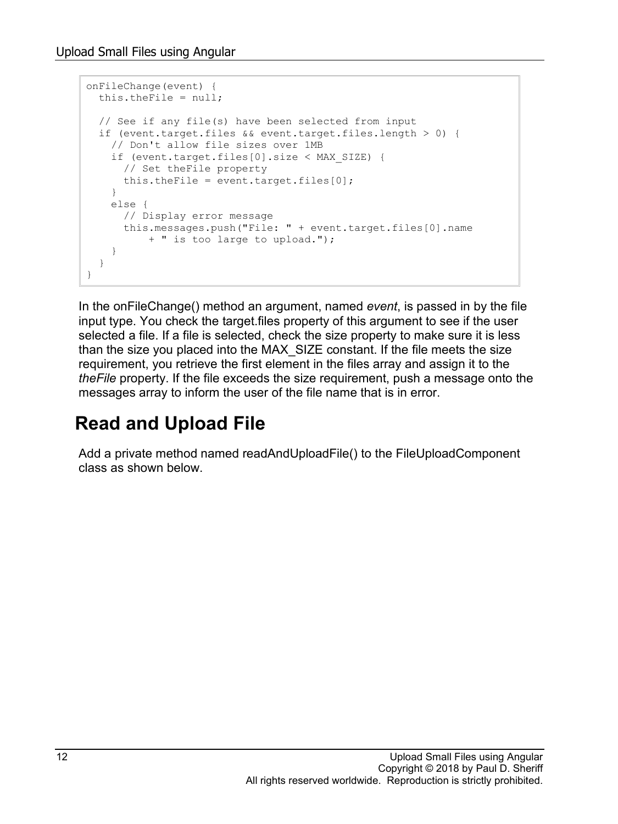```
onFileChange(event) {
  this.theFile = null;
   // See if any file(s) have been selected from input
   if (event.target.files && event.target.files.length > 0) {
    // Don't allow file sizes over 1MB
    if (event.target.files[0].size < MAX_SIZE) {
       // Set theFile property
     this.theFile = event.target.files[0];
     }
    else {
       // Display error message
       this.messages.push("File: " + event.target.files[0].name 
           + " is too large to upload.");
     }
   }
}
```
In the onFileChange() method an argument, named *event*, is passed in by the file input type. You check the target.files property of this argument to see if the user selected a file. If a file is selected, check the size property to make sure it is less than the size you placed into the MAX\_SIZE constant. If the file meets the size requirement, you retrieve the first element in the files array and assign it to the *theFile* property. If the file exceeds the size requirement, push a message onto the messages array to inform the user of the file name that is in error.

## **Read and Upload File**

Add a private method named readAndUploadFile() to the FileUploadComponent class as shown below.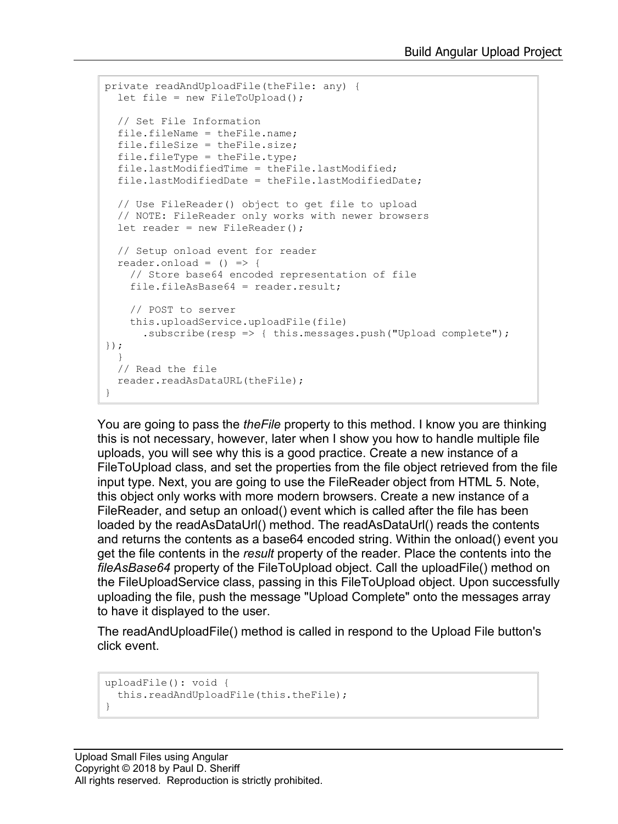```
private readAndUploadFile(theFile: any) {
 let file = new FileToUpload();
  // Set File Information
  file.fileName = theFile.name;
  file.fileSize = theFile.size;
  file.fileType = theFile.type;
  file.lastModifiedTime = theFile.lastModified;
  file.lastModifiedDate = theFile.lastModifiedDate;
  // Use FileReader() object to get file to upload
  // NOTE: FileReader only works with newer browsers
 let reader = new FileReader();
  // Setup onload event for reader
 reader.onload = () => {
    // Store base64 encoded representation of file
    file.fileAsBase64 = reader.result;
     // POST to server
     this.uploadService.uploadFile(file)
       .subscribe(resp => { this.messages.push("Upload complete"); 
});
 }
  // Read the file 
  reader.readAsDataURL(theFile);
}
```
You are going to pass the *theFile* property to this method. I know you are thinking this is not necessary, however, later when I show you how to handle multiple file uploads, you will see why this is a good practice. Create a new instance of a FileToUpload class, and set the properties from the file object retrieved from the file input type. Next, you are going to use the FileReader object from HTML 5. Note, this object only works with more modern browsers. Create a new instance of a FileReader, and setup an onload() event which is called after the file has been loaded by the readAsDataUrl() method. The readAsDataUrl() reads the contents and returns the contents as a base64 encoded string. Within the onload() event you get the file contents in the *result* property of the reader. Place the contents into the *fileAsBase64* property of the FileToUpload object. Call the uploadFile() method on the FileUploadService class, passing in this FileToUpload object. Upon successfully uploading the file, push the message "Upload Complete" onto the messages array to have it displayed to the user.

The readAndUploadFile() method is called in respond to the Upload File button's click event.

```
uploadFile(): void {
  this.readAndUploadFile(this.theFile);
}
```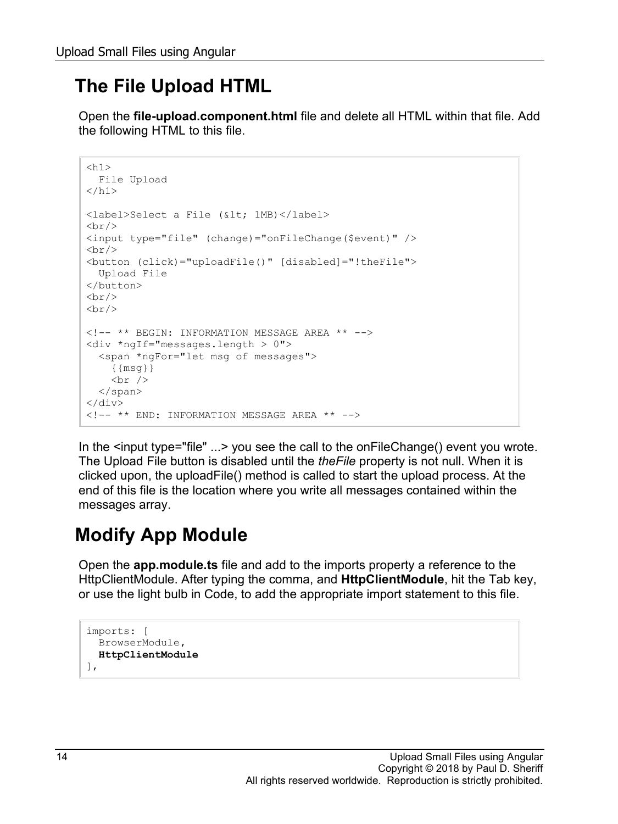## **The File Upload HTML**

Open the **file-upload.component.html** file and delete all HTML within that file. Add the following HTML to this file.

```
<h1> File Upload
\langle/h1>
<label>Select a File (&lt; 1MB)</label>
\braket{br/}<input type="file" (change)="onFileChange($event)" />
\langlehr/>
<button (click)="uploadFile()" [disabled]="!theFile">
  Upload File
</button>
\braket{br/}<br/><br/>br/><!-- ** BEGIN: INFORMATION MESSAGE AREA ** -->
<div *ngIf="messages.length > 0">
   <span *ngFor="let msg of messages">
    \{ \{msq\} \}\text{br} />
  \langle/span\rangle\langle div\rangle<!-- ** END: INFORMATION MESSAGE AREA ** -->
```
In the <input type="file" ...> you see the call to the onFileChange() event you wrote. The Upload File button is disabled until the *theFile* property is not null. When it is clicked upon, the uploadFile() method is called to start the upload process. At the end of this file is the location where you write all messages contained within the messages array.

## **Modify App Module**

Open the **app.module.ts** file and add to the imports property a reference to the HttpClientModule. After typing the comma, and **HttpClientModule**, hit the Tab key, or use the light bulb in Code, to add the appropriate import statement to this file.

```
imports: [
   BrowserModule,
   HttpClientModule
\frac{1}{2},
```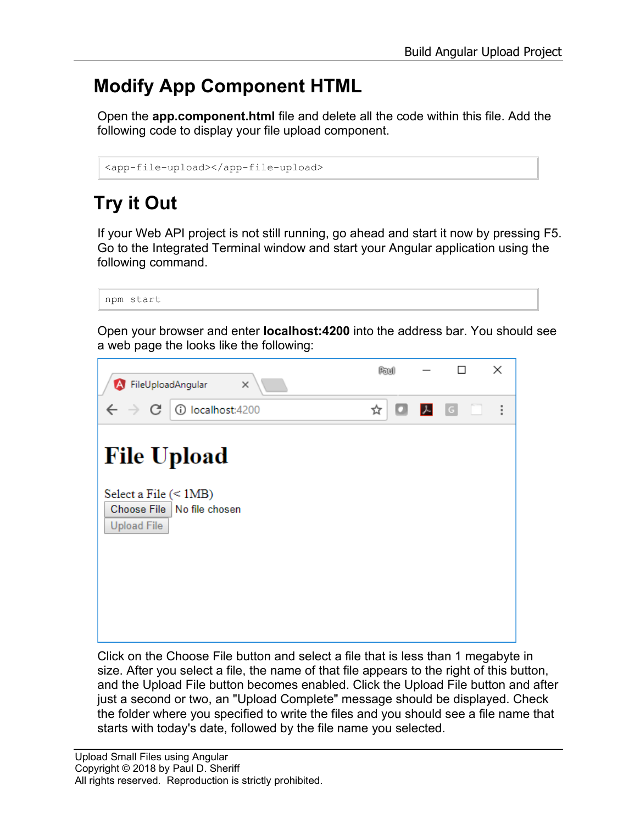## **Modify App Component HTML**

Open the **app.component.html** file and delete all the code within this file. Add the following code to display your file upload component.

```
<app-file-upload></app-file-upload>
```
## **Try it Out**

If your Web API project is not still running, go ahead and start it now by pressing F5. Go to the Integrated Terminal window and start your Angular application using the following command.

```
npm start
```
Open your browser and enter **localhost:4200** into the address bar. You should see a web page the looks like the following:



Click on the Choose File button and select a file that is less than 1 megabyte in size. After you select a file, the name of that file appears to the right of this button, and the Upload File button becomes enabled. Click the Upload File button and after just a second or two, an "Upload Complete" message should be displayed. Check the folder where you specified to write the files and you should see a file name that starts with today's date, followed by the file name you selected.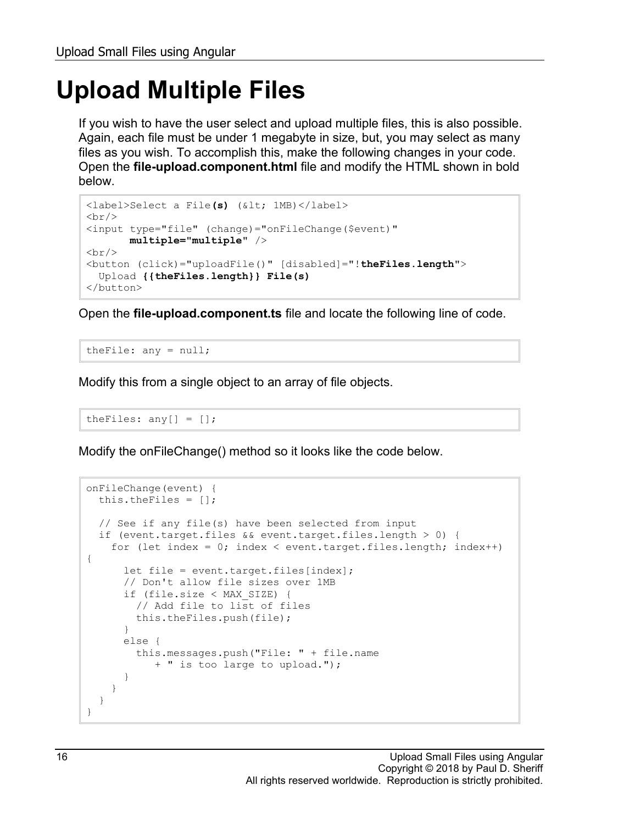## **Upload Multiple Files**

If you wish to have the user select and upload multiple files, this is also possible. Again, each file must be under 1 megabyte in size, but, you may select as many files as you wish. To accomplish this, make the following changes in your code. Open the **file-upload.component.html** file and modify the HTML shown in bold below.

```
<label>Select a File(s) (&lt; 1MB)</label>
\langlehr/>
<input type="file" (change)="onFileChange($event)"
        multiple="multiple" />
\braket{br/}<button (click)="uploadFile()" [disabled]="!theFiles.length">
  Upload {{theFiles.length}} File(s)
</button>
```
Open the **file-upload.component.ts** file and locate the following line of code.

theFile: any = null;

Modify this from a single object to an array of file objects.

```
theFiles: any[] = [];
```
Modify the onFileChange() method so it looks like the code below.

```
onFileChange(event) {
   this.theFiles = [];
   // See if any file(s) have been selected from input
   if (event.target.files && event.target.files.length > 0) {
     for (let index = 0; index < event.target.files.length; index++) 
{
      let file = event.target.files[index];
       // Don't allow file sizes over 1MB
       if (file.size < MAX_SIZE) {
        // Add file to list of files
        this.theFiles.push(file);
       }
       else {
         this.messages.push("File: " + file.name 
            + " is too large to upload.");
 }
     }
   }
}
```